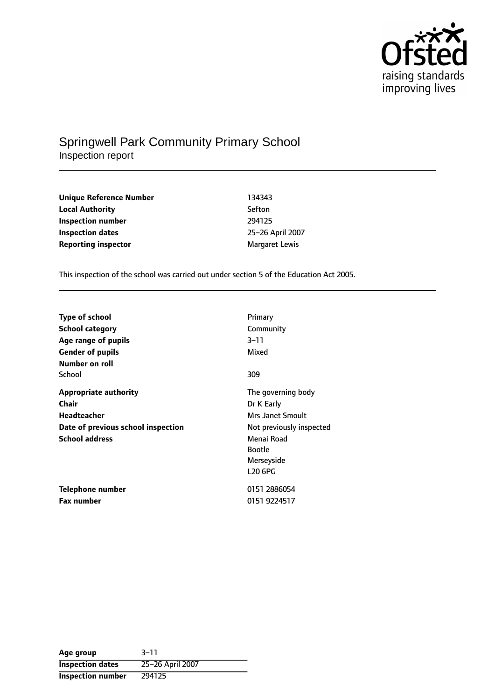

# Springwell Park Community Primary School Inspection report

| Unique Reference Number    | 134343                |
|----------------------------|-----------------------|
| <b>Local Authority</b>     | Sefton                |
| Inspection number          | 294125                |
| <b>Inspection dates</b>    | 25-26 April 2007      |
| <b>Reporting inspector</b> | <b>Margaret Lewis</b> |

This inspection of the school was carried out under section 5 of the Education Act 2005.

| <b>Type of school</b>              | Primary                  |
|------------------------------------|--------------------------|
| <b>School category</b>             | Community                |
| Age range of pupils                | $3 - 11$                 |
| <b>Gender of pupils</b>            | Mixed                    |
| Number on roll                     |                          |
| School                             | 309                      |
| <b>Appropriate authority</b>       | The governing body       |
| <b>Chair</b>                       | Dr K Early               |
| <b>Headteacher</b>                 | Mrs Janet Smoult         |
| Date of previous school inspection | Not previously inspected |
| <b>School address</b>              | Menai Road               |
|                                    | <b>Bootle</b>            |
|                                    | Merseyside               |
|                                    | <b>L20 6PG</b>           |
| <b>Telephone number</b>            | 0151 2886054             |
| <b>Fax number</b>                  | 0151 9224517             |

**Age** group 3-11 **Inspection dates** 25-26 April 2007 **Inspection number** 294125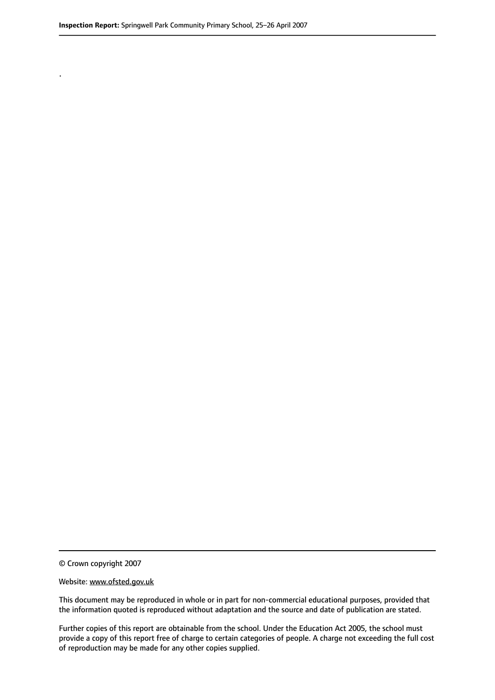.

© Crown copyright 2007

#### Website: www.ofsted.gov.uk

This document may be reproduced in whole or in part for non-commercial educational purposes, provided that the information quoted is reproduced without adaptation and the source and date of publication are stated.

Further copies of this report are obtainable from the school. Under the Education Act 2005, the school must provide a copy of this report free of charge to certain categories of people. A charge not exceeding the full cost of reproduction may be made for any other copies supplied.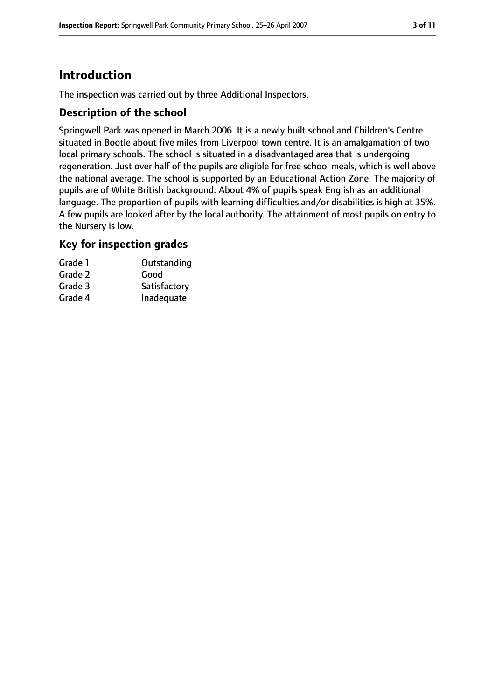# **Introduction**

The inspection was carried out by three Additional Inspectors.

#### **Description of the school**

Springwell Park was opened in March 2006. It is a newly built school and Children's Centre situated in Bootle about five miles from Liverpool town centre. It is an amalgamation of two local primary schools. The school is situated in a disadvantaged area that is undergoing regeneration. Just over half of the pupils are eligible for free school meals, which is well above the national average. The school is supported by an Educational Action Zone. The majority of pupils are of White British background. About 4% of pupils speak English as an additional language. The proportion of pupils with learning difficulties and/or disabilities is high at 35%. A few pupils are looked after by the local authority. The attainment of most pupils on entry to the Nursery is low.

#### **Key for inspection grades**

| Grade 1 | Outstanding  |
|---------|--------------|
| Grade 2 | Good         |
| Grade 3 | Satisfactory |
| Grade 4 | Inadequate   |
|         |              |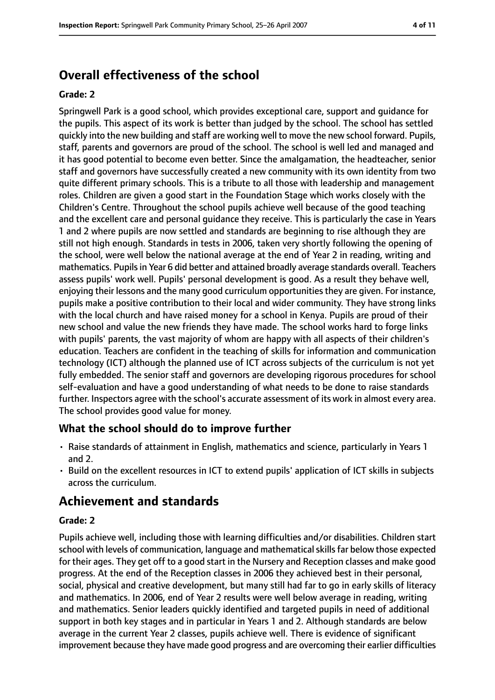# **Overall effectiveness of the school**

#### **Grade: 2**

Springwell Park is a good school, which provides exceptional care, support and guidance for the pupils. This aspect of its work is better than judged by the school. The school has settled quickly into the new building and staff are working well to move the new school forward. Pupils, staff, parents and governors are proud of the school. The school is well led and managed and it has good potential to become even better. Since the amalgamation, the headteacher, senior staff and governors have successfully created a new community with its own identity from two quite different primary schools. This is a tribute to all those with leadership and management roles. Children are given a good start in the Foundation Stage which works closely with the Children's Centre. Throughout the school pupils achieve well because of the good teaching and the excellent care and personal guidance they receive. This is particularly the case in Years 1 and 2 where pupils are now settled and standards are beginning to rise although they are still not high enough. Standards in tests in 2006, taken very shortly following the opening of the school, were well below the national average at the end of Year 2 in reading, writing and mathematics. Pupils in Year 6 did better and attained broadly average standards overall. Teachers assess pupils' work well. Pupils' personal development is good. As a result they behave well, enjoying their lessons and the many good curriculum opportunitiesthey are given. For instance, pupils make a positive contribution to their local and wider community. They have strong links with the local church and have raised money for a school in Kenya. Pupils are proud of their new school and value the new friends they have made. The school works hard to forge links with pupils' parents, the vast majority of whom are happy with all aspects of their children's education. Teachers are confident in the teaching of skills for information and communication technology (ICT) although the planned use of ICT across subjects of the curriculum is not yet fully embedded. The senior staff and governors are developing rigorous procedures for school self-evaluation and have a good understanding of what needs to be done to raise standards further. Inspectors agree with the school's accurate assessment of its work in almost every area. The school provides good value for money.

### **What the school should do to improve further**

- Raise standards of attainment in English, mathematics and science, particularly in Years 1 and 2.
- Build on the excellent resources in ICT to extend pupils' application of ICT skills in subjects across the curriculum.

# **Achievement and standards**

#### **Grade: 2**

Pupils achieve well, including those with learning difficulties and/or disabilities. Children start school with levels of communication, language and mathematical skills far below those expected for their ages. They get off to a good start in the Nursery and Reception classes and make good progress. At the end of the Reception classes in 2006 they achieved best in their personal, social, physical and creative development, but many still had far to go in early skills of literacy and mathematics. In 2006, end of Year 2 results were well below average in reading, writing and mathematics. Senior leaders quickly identified and targeted pupils in need of additional support in both key stages and in particular in Years 1 and 2. Although standards are below average in the current Year 2 classes, pupils achieve well. There is evidence of significant improvement because they have made good progress and are overcoming their earlier difficulties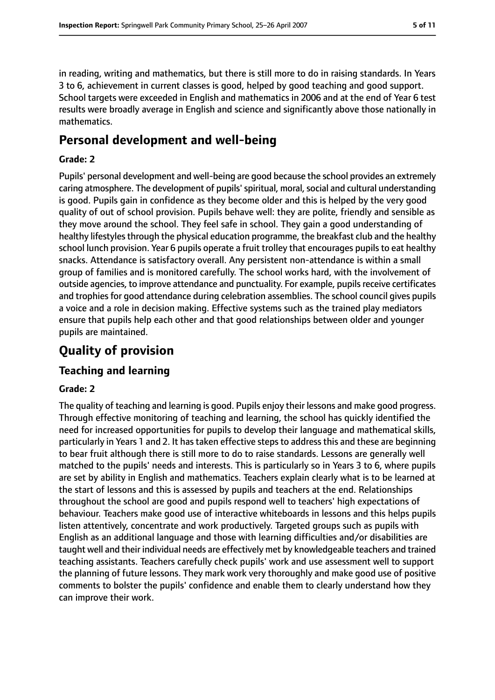in reading, writing and mathematics, but there is still more to do in raising standards. In Years 3 to 6, achievement in current classes is good, helped by good teaching and good support. School targets were exceeded in English and mathematics in 2006 and at the end of Year 6 test results were broadly average in English and science and significantly above those nationally in mathematics.

# **Personal development and well-being**

#### **Grade: 2**

Pupils' personal development and well-being are good because the school provides an extremely caring atmosphere. The development of pupils' spiritual, moral, social and cultural understanding is good. Pupils gain in confidence as they become older and this is helped by the very good quality of out of school provision. Pupils behave well: they are polite, friendly and sensible as they move around the school. They feel safe in school. They gain a good understanding of healthy lifestyles through the physical education programme, the breakfast club and the healthy school lunch provision. Year 6 pupils operate a fruit trolley that encourages pupils to eat healthy snacks. Attendance is satisfactory overall. Any persistent non-attendance is within a small group of families and is monitored carefully. The school works hard, with the involvement of outside agencies, to improve attendance and punctuality. For example, pupils receive certificates and trophies for good attendance during celebration assemblies. The school council gives pupils a voice and a role in decision making. Effective systems such as the trained play mediators ensure that pupils help each other and that good relationships between older and younger pupils are maintained.

# **Quality of provision**

### **Teaching and learning**

### **Grade: 2**

The quality of teaching and learning is good. Pupils enjoy their lessons and make good progress. Through effective monitoring of teaching and learning, the school has quickly identified the need for increased opportunities for pupils to develop their language and mathematical skills, particularly in Years 1 and 2. It has taken effective steps to address this and these are beginning to bear fruit although there is still more to do to raise standards. Lessons are generally well matched to the pupils' needs and interests. This is particularly so in Years 3 to 6, where pupils are set by ability in English and mathematics. Teachers explain clearly what is to be learned at the start of lessons and this is assessed by pupils and teachers at the end. Relationships throughout the school are good and pupils respond well to teachers' high expectations of behaviour. Teachers make good use of interactive whiteboards in lessons and this helps pupils listen attentively, concentrate and work productively. Targeted groups such as pupils with English as an additional language and those with learning difficulties and/or disabilities are taught well and their individual needs are effectively met by knowledgeable teachers and trained teaching assistants. Teachers carefully check pupils' work and use assessment well to support the planning of future lessons. They mark work very thoroughly and make good use of positive comments to bolster the pupils' confidence and enable them to clearly understand how they can improve their work.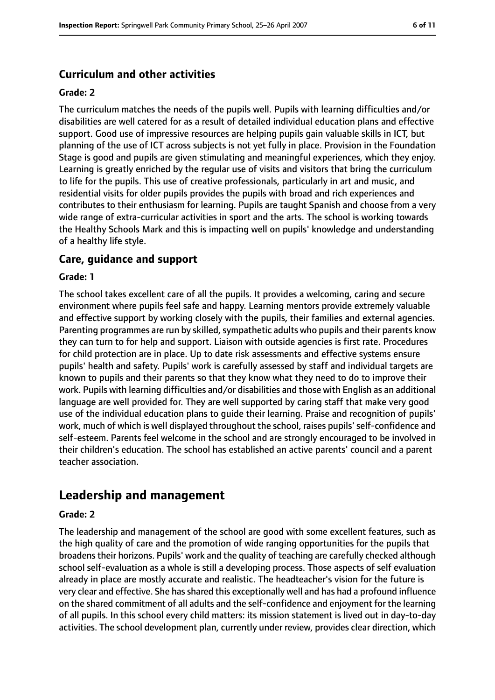### **Curriculum and other activities**

#### **Grade: 2**

The curriculum matches the needs of the pupils well. Pupils with learning difficulties and/or disabilities are well catered for as a result of detailed individual education plans and effective support. Good use of impressive resources are helping pupils gain valuable skills in ICT, but planning of the use of ICT across subjects is not yet fully in place. Provision in the Foundation Stage is good and pupils are given stimulating and meaningful experiences, which they enjoy. Learning is greatly enriched by the regular use of visits and visitors that bring the curriculum to life for the pupils. This use of creative professionals, particularly in art and music, and residential visits for older pupils provides the pupils with broad and rich experiences and contributes to their enthusiasm for learning. Pupils are taught Spanish and choose from a very wide range of extra-curricular activities in sport and the arts. The school is working towards the Healthy Schools Mark and this is impacting well on pupils' knowledge and understanding of a healthy life style.

#### **Care, guidance and support**

#### **Grade: 1**

The school takes excellent care of all the pupils. It provides a welcoming, caring and secure environment where pupils feel safe and happy. Learning mentors provide extremely valuable and effective support by working closely with the pupils, their families and external agencies. Parenting programmes are run by skilled, sympathetic adults who pupils and their parents know they can turn to for help and support. Liaison with outside agencies is first rate. Procedures for child protection are in place. Up to date risk assessments and effective systems ensure pupils' health and safety. Pupils' work is carefully assessed by staff and individual targets are known to pupils and their parents so that they know what they need to do to improve their work. Pupils with learning difficulties and/or disabilities and those with English as an additional language are well provided for. They are well supported by caring staff that make very good use of the individual education plans to guide their learning. Praise and recognition of pupils' work, much of which is well displayed throughout the school, raises pupils' self-confidence and self-esteem. Parents feel welcome in the school and are strongly encouraged to be involved in their children's education. The school has established an active parents' council and a parent teacher association.

# **Leadership and management**

#### **Grade: 2**

The leadership and management of the school are good with some excellent features, such as the high quality of care and the promotion of wide ranging opportunities for the pupils that broadenstheir horizons. Pupils' work and the quality of teaching are carefully checked although school self-evaluation as a whole is still a developing process. Those aspects of self evaluation already in place are mostly accurate and realistic. The headteacher's vision for the future is very clear and effective. She hasshared this exceptionally well and has had a profound influence on the shared commitment of all adults and the self-confidence and enjoyment for the learning of all pupils. In this school every child matters: its mission statement is lived out in day-to-day activities. The school development plan, currently under review, provides clear direction, which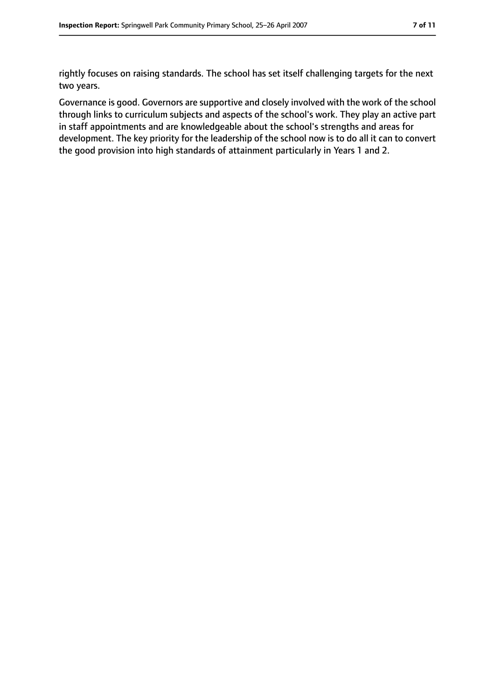rightly focuses on raising standards. The school has set itself challenging targets for the next two years.

Governance is good. Governors are supportive and closely involved with the work of the school through links to curriculum subjects and aspects of the school's work. They play an active part in staff appointments and are knowledgeable about the school's strengths and areas for development. The key priority for the leadership of the school now is to do all it can to convert the good provision into high standards of attainment particularly in Years 1 and 2.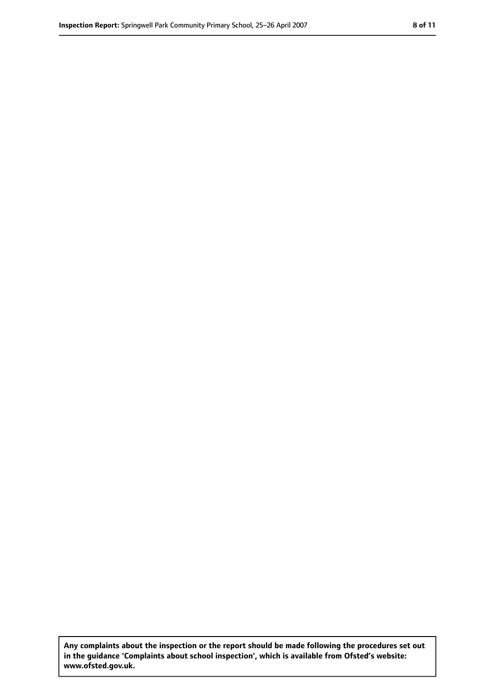**Any complaints about the inspection or the report should be made following the procedures set out in the guidance 'Complaints about school inspection', which is available from Ofsted's website: www.ofsted.gov.uk.**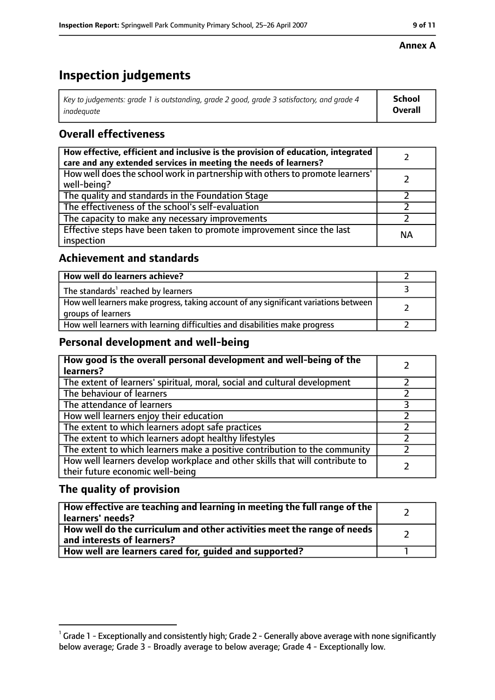# **Inspection judgements**

| Key to judgements: grade 1 is outstanding, grade 2 good, grade 3 satisfactory, and grade 4 | <b>School</b>  |
|--------------------------------------------------------------------------------------------|----------------|
| inadeauate                                                                                 | <b>Overall</b> |

## **Overall effectiveness**

| How effective, efficient and inclusive is the provision of education, integrated<br>care and any extended services in meeting the needs of learners? |    |
|------------------------------------------------------------------------------------------------------------------------------------------------------|----|
| How well does the school work in partnership with others to promote learners'<br>well-being?                                                         |    |
| The quality and standards in the Foundation Stage                                                                                                    |    |
| The effectiveness of the school's self-evaluation                                                                                                    |    |
| The capacity to make any necessary improvements                                                                                                      |    |
| Effective steps have been taken to promote improvement since the last<br>inspection                                                                  | ΝA |

## **Achievement and standards**

| How well do learners achieve?                                                                               |  |
|-------------------------------------------------------------------------------------------------------------|--|
| The standards <sup>1</sup> reached by learners                                                              |  |
| How well learners make progress, taking account of any significant variations between<br>groups of learners |  |
| How well learners with learning difficulties and disabilities make progress                                 |  |

## **Personal development and well-being**

| How good is the overall personal development and well-being of the<br>learners?                                  |  |
|------------------------------------------------------------------------------------------------------------------|--|
| The extent of learners' spiritual, moral, social and cultural development                                        |  |
| The behaviour of learners                                                                                        |  |
| The attendance of learners                                                                                       |  |
| How well learners enjoy their education                                                                          |  |
| The extent to which learners adopt safe practices                                                                |  |
| The extent to which learners adopt healthy lifestyles                                                            |  |
| The extent to which learners make a positive contribution to the community                                       |  |
| How well learners develop workplace and other skills that will contribute to<br>their future economic well-being |  |

## **The quality of provision**

| How effective are teaching and learning in meeting the full range of the<br>learners' needs?          |  |
|-------------------------------------------------------------------------------------------------------|--|
| How well do the curriculum and other activities meet the range of needs<br>and interests of learners? |  |
| How well are learners cared for, guided and supported?                                                |  |

### **Annex A**

 $^1$  Grade 1 - Exceptionally and consistently high; Grade 2 - Generally above average with none significantly below average; Grade 3 - Broadly average to below average; Grade 4 - Exceptionally low.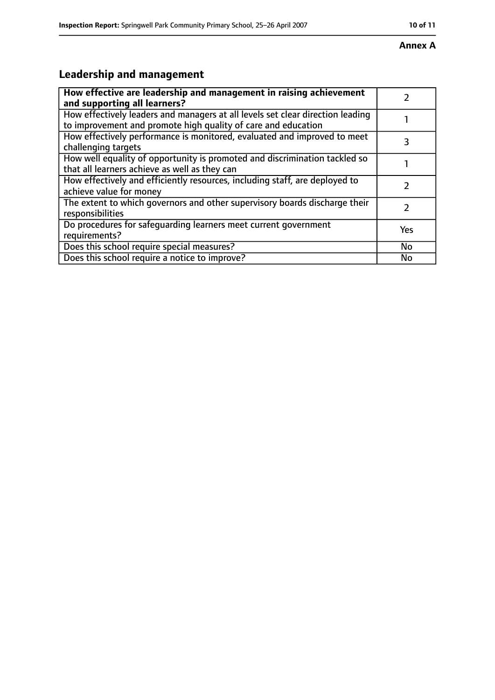#### **Annex A**

# **Leadership and management**

| How effective are leadership and management in raising achievement<br>and supporting all learners?                                              |           |
|-------------------------------------------------------------------------------------------------------------------------------------------------|-----------|
| How effectively leaders and managers at all levels set clear direction leading<br>to improvement and promote high quality of care and education |           |
| How effectively performance is monitored, evaluated and improved to meet<br>challenging targets                                                 |           |
| How well equality of opportunity is promoted and discrimination tackled so<br>that all learners achieve as well as they can                     |           |
| How effectively and efficiently resources, including staff, are deployed to<br>achieve value for money                                          |           |
| The extent to which governors and other supervisory boards discharge their<br>responsibilities                                                  |           |
| Do procedures for safeguarding learners meet current government<br>requirements?                                                                | Yes       |
| Does this school require special measures?                                                                                                      | <b>No</b> |
| Does this school require a notice to improve?                                                                                                   | No        |